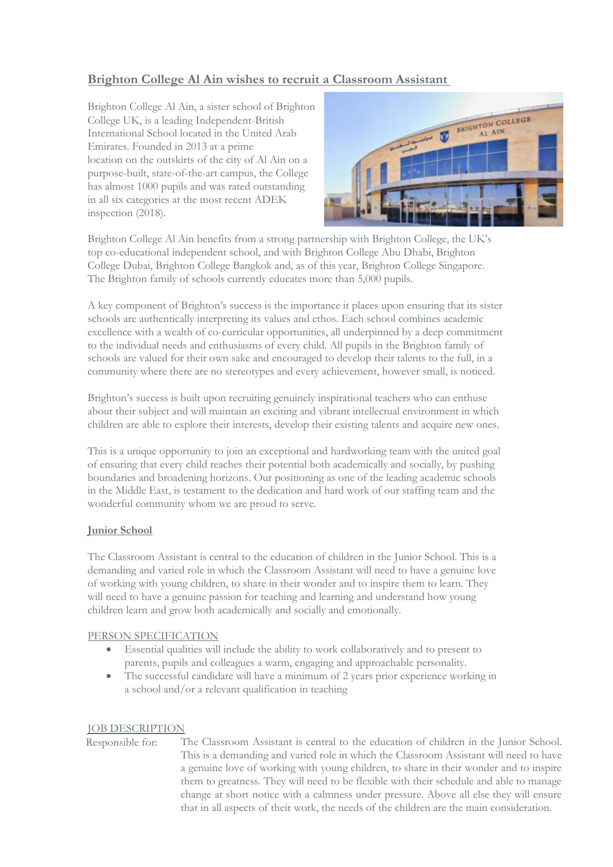# **Brighton College Al Ain wishes to recruit a Classroom Assistant**

Brighton College Al Ain, a sister school of Brighton College UK, is a leading Independent-British International School located in the United Arab Emirates. Founded in 2013 at a prime location on the outskirts of the city of Al Ain on a purpose-built, state-of-the-art campus, the College has almost 1000 pupils and was rated outstanding in all six categories at the most recent ADEK inspection (2018).



Brighton College Al Ain benefits from a strong partnership with Brighton College, the UK's top co-educational independent school, and with Brighton College Abu Dhabi, Brighton College Dubai, Brighton College Bangkok and, as of this year, Brighton College Singapore. The Brighton family of schools currently educates more than 5,000 pupils.

A key component of Brighton's success is the importance it places upon ensuring that its sister schools are authentically interpreting its values and ethos. Each school combines academic excellence with a wealth of co-curricular opportunities, all underpinned by a deep commitment to the individual needs and enthusiasms of every child. All pupils in the Brighton family of schools are valued for their own sake and encouraged to develop their talents to the full, in a community where there are no stereotypes and every achievement, however small, is noticed.

Brighton's success is built upon recruiting genuinely inspirational teachers who can enthuse about their subject and will maintain an exciting and vibrant intellectual environment in which children are able to explore their interests, develop their existing talents and acquire new ones.

This is a unique opportunity to join an exceptional and hardworking team with the united goal of ensuring that every child reaches their potential both academically and socially, by pushing boundaries and broadening horizons. Our positioning as one of the leading academic schools in the Middle East, is testament to the dedication and hard work of our staffing team and the wonderful community whom we are proud to serve.

## **Junior School**

The Classroom Assistant is central to the education of children in the Junior School. This is a demanding and varied role in which the Classroom Assistant will need to have a genuine love of working with young children, to share in their wonder and to inspire them to learn. They will need to have a genuine passion for teaching and learning and understand how young children learn and grow both academically and socially and emotionally.

#### PERSON SPECIFICATION

- Essential qualities will include the ability to work collaboratively and to present to parents, pupils and colleagues a warm, engaging and approachable personality.
- The successful candidate will have a minimum of 2 years prior experience working in a school and/or a relevant qualification in teaching

#### JOB DESCRIPTION

Responsible for: The Classroom Assistant is central to the education of children in the Junior School. This is a demanding and varied role in which the Classroom Assistant will need to have a genuine love of working with young children, to share in their wonder and to inspire them to greatness. They will need to be flexible with their schedule and able to manage change at short notice with a calmness under pressure. Above all else they will ensure that in all aspects of their work, the needs of the children are the main consideration.